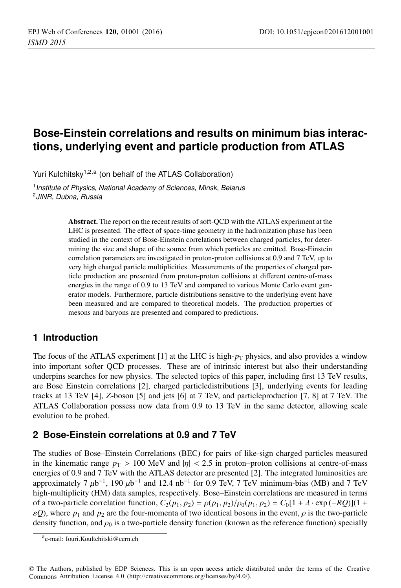# **Bose-Einstein correlations and results on minimum bias interactions, underlying event and particle production from ATLAS**

Yuri Kulchitsky<sup>1,2,a</sup> (on behalf of the ATLAS Collaboration)

<sup>1</sup> Institute of Physics, National Academy of Sciences, Minsk, Belarus <sup>2</sup>JINR, Dubna, Russia

> Abstract. The report on the recent results of soft-QCD with the ATLAS experiment at the LHC is presented. The effect of space-time geometry in the hadronization phase has been studied in the context of Bose-Einstein correlations between charged particles, for determining the size and shape of the source from which particles are emitted. Bose-Einstein correlation parameters are investigated in proton-proton collisions at 0.9 and 7 TeV, up to very high charged particle multiplicities. Measurements of the properties of charged particle production are presented from proton-proton collisions at different centre-of-mass energies in the range of 0.9 to 13 TeV and compared to various Monte Carlo event generator models. Furthermore, particle distributions sensitive to the underlying event have been measured and are compared to theoretical models. The production properties of mesons and baryons are presented and compared to predictions.

# **1 Introduction**

The focus of the ATLAS experiment [1] at the LHC is high- $p<sub>T</sub>$  physics, and also provides a window into important softer QCD processes. These are of intrinsic interest but also their understanding underpins searches for new physics. The selected topics of this paper, including first 13 TeV results, are Bose Einstein correlations [2], charged particledistributions [3], underlying events for leading tracks at 13 TeV [4], *Z*-boson [5] and jets [6] at 7 TeV, and particleproduction [7, 8] at 7 TeV. The ATLAS Collaboration possess now data from 0.9 to 13 TeV in the same detector, allowing scale evolution to be probed.

# **2 Bose-Einstein correlations at 0.9 and 7 TeV**

The studies of Bose–Einstein Correlations (BEC) for pairs of like-sign charged particles measured in the kinematic range  $p_T > 100$  MeV and  $|\eta| < 2.5$  in proton–proton collisions at centre-of-mass energies of 0.9 and 7 TeV with the ATLAS detector are presented [2]. The integrated luminosities are approximately 7  $\mu$ b<sup>-1</sup>, 190  $\mu$ b<sup>-1</sup> and 12.4 nb<sup>-1</sup> for 0.9 TeV, 7 TeV minimum-bias (MB) and 7 TeV high-multiplicity (HM) data samples, respectively. Bose–Einstein correlations are measured in terms of a two-particle correlation function,  $C_2(p_1, p_2) = \rho(p_1, p_2)/\rho_0(p_1, p_2) = C_0[1 + \lambda \cdot \exp(-RQ)](1 +$  $\varepsilon Q$ ), where  $p_1$  and  $p_2$  are the four-momenta of two identical bosons in the event,  $\rho$  is the two-particle density function, and  $\rho_0$  is a two-particle density function (known as the reference function) specially

ae-mail: [Iouri.Koultchitski@cern.ch](mailto:Iouri.Koultchitski@cern.ch)

<sup>©</sup> The Authors, published by EDP Sciences. This is an open access article distributed under the terms of the Creative Commons Attribution License 4.0 ([http://creativecommons.org/licenses/by/4.0/\).](http://creativecommons.org/licenses/by/4.0/)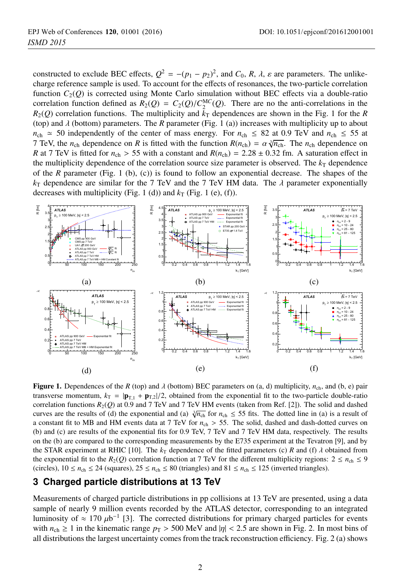constructed to exclude BEC effects,  $Q^2 = -(p_1 - p_2)^2$ , and  $C_0$ , *R*,  $\lambda$ ,  $\varepsilon$  are parameters. The unlikecharge reference sample is used. To account for the effects of resonances, the two-particle correlation function *C*2(*Q*) is corrected using Monte Carlo simulation without BEC effects via a double-ratio correlation function defined as  $R_2(Q) = C_2(Q)/C_2^{MC}(Q)$ . There are no the anti-correlations in the  $R_2(Q)$  correlation functions. The multiplicity and  $\bar{k}_T$  dependences are shown in the Fig. 1 for the *R* (top) and  $\lambda$  (bottom) parameters. The  $R$  parameter (Fig. 1 (a)) increases with multiplicity up to about  $n_{ch} \approx 50$  independently of the center of mass energy. For  $n_{ch} \le 82$  at 0.9 TeV and  $n_{ch} \le 55$  at 7 TeV, the *n*<sub>ch</sub> dependence on *R* is fitted with the function  $R(n_{ch}) = \alpha \sqrt[3]{n_{ch}}$ . The *n*<sub>ch</sub> dependence on *R* at 7 TeV is fitted for  $n_{ch} > 55$  with a constant and  $R(n_{ch}) = 2.28 \pm 0.32$  fm. A saturation effect in the multiplicity dependence of the correlation source size parameter is observed. The  $k<sub>T</sub>$  dependence of the *R* parameter (Fig. 1 (b), (c)) is found to follow an exponential decrease. The shapes of the  $k_T$  dependence are similar for the 7 TeV and the 7 TeV HM data. The  $\lambda$  parameter exponentially decreases with multiplicity (Fig. 1 (d)) and  $k_T$  (Fig. 1 (e), (f)).



**Figure 1.** Dependences of the *R* (top) and  $\lambda$  (bottom) BEC parameters on (a, d) multiplicity,  $n_{\text{ch}}$ , and (b, e) pair transverse momentum,  $k_T = |\mathbf{p}_{T,1} + \mathbf{p}_{T,2}|/2$ , obtained from the exponential fit to the two-particle double-ratio correlation functions *R*2(*Q*) at 0.9 and 7 TeV and 7 TeV HM events (taken from Ref. [2]). The solid and dashed curves are the results of (d) the exponential and (a)  $\sqrt[3]{n_{\text{ch}}}$  for  $n_{\text{ch}} \le 55$  fits. The dotted line in (a) is a result of a constant fit to MB and HM events data at 7 TeV for *n*ch > 55. The solid, dashed and dash-dotted curves on (b) and (c) are results of the exponential fits for 0.9 TeV, 7 TeV and 7 TeV HM data, respectively. The results on the (b) are compared to the corresponding measurements by the E735 experiment at the Tevatron [9], and by the STAR experiment at RHIC [10]. The  $k<sub>T</sub>$  dependence of the fitted parameters (c) *R* and (f)  $\lambda$  obtained from the exponential fit to the  $R_2(Q)$  correlation function at 7 TeV for the different multiplicity regions:  $2 \le n_{ch} \le 9$ (circles),  $10 \le n_{\rm ch} \le 24$  (squares),  $25 \le n_{\rm ch} \le 80$  (triangles) and  $81 \le n_{\rm ch} \le 125$  (inverted triangles).

## **3 Charged particle distributions at 13 TeV**

Measurements of charged particle distributions in pp collisions at 13 TeV are presented, using a data sample of nearly 9 million events recorded by the ATLAS detector, corresponding to an integrated luminosity of  $\approx 170 \mu b^{-1}$  [3]. The corrected distributions for primary charged particles for events with  $n_{\rm ch} \ge 1$  in the kinematic range  $p_T > 500$  MeV and  $|\eta| < 2.5$  are shown in Fig. 2. In most bins of all distributions the largest uncertainty comes from the track reconstruction efficiency. Fig. 2 (a) shows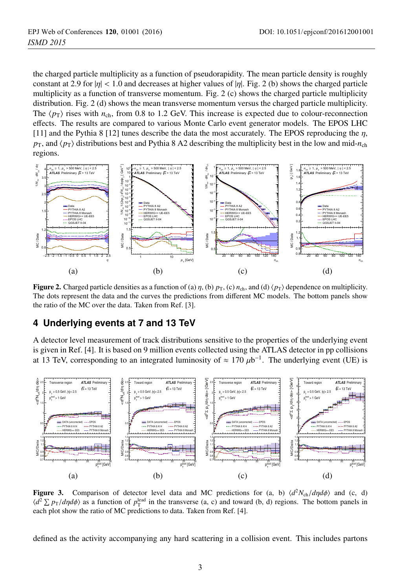the charged particle multiplicity as a function of pseudorapidity. The mean particle density is roughly constant at 2.9 for  $|\eta| < 1.0$  and decreases at higher values of  $|\eta|$ . Fig. 2 (b) shows the charged particle multiplicity as a function of transverse momentum. Fig. 2 (c) shows the charged particle multiplicity distribution. Fig. 2 (d) shows the mean transverse momentum versus the charged particle multiplicity. The  $\langle p_T \rangle$  rises with  $n_{\rm ch}$ , from 0.8 to 1.2 GeV. This increase is expected due to colour-reconnection effects. The results are compared to various Monte Carlo event generator models. The EPOS LHC [11] and the Pythia 8 [12] tunes describe the data the most accurately. The EPOS reproducing the  $\eta$ ,  $p_T$ , and  $\langle p_T \rangle$  distributions best and Pythia 8 A2 describing the multiplicity best in the low and mid- $n_{ch}$ regions.



Figure 2. Charged particle densities as a function of (a)  $\eta$ , (b)  $p_T$ , (c)  $n_{ch}$ , and (d)  $\langle p_T \rangle$  dependence on multiplicity. The dots represent the data and the curves the predictions from different MC models. The bottom panels show the ratio of the MC over the data. Taken from Ref. [3].

## **4 Underlying events at 7 and 13 TeV**

A detector level measurement of track distributions sensitive to the properties of the underlying event is given in Ref. [4]. It is based on 9 million events collected using the ATLAS detector in pp collisions at 13 TeV, corresponding to an integrated luminosity of  $\approx 170 \mu b^{-1}$ . The underlying event (UE) is



Figure 3. Comparison of detector level data and MC predictions for (a, b)  $\langle d^2N_{ch}/d\eta d\phi \rangle$  and (c, d)  $\langle d^2 \Sigma p_T/d\eta d\phi \rangle$  as a function of  $p_T^{\text{lead}}$  in the transverse (a, c) and toward (b, d) regions. The bottom panels in each plot show the ratio of MC predictions to data. Taken from Ref. [4].

defined as the activity accompanying any hard scattering in a collision event. This includes partons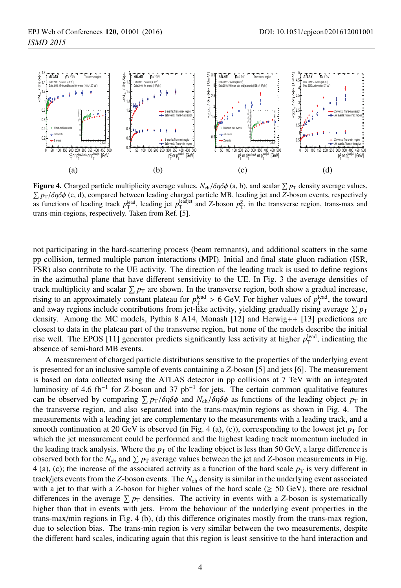

**Figure 4.** Charged particle multiplicity average values,  $N_{\text{ch}}/\delta\eta\delta\phi$  (a, b), and scalar  $\sum p_{\text{T}}$  density average values,  $\sum p_{\text{ch}}/\delta\eta\delta\phi$  (c, d), compared between leading charged particle MB, leading ist and Z  $\sum p_T/\delta n \delta \phi$  (c, d), compared between leading charged particle MB, leading jet and *Z*-boson events, respectively as functions of leading track  $p_T^{\text{lead}}$ , leading jet  $p_T^{\text{leading}}$  and *Z*-boson  $p_T^Z$ , in the transverse region, trans-max and trans-min-regions, respectively. Taken from Ref. [5].

not participating in the hard-scattering process (beam remnants), and additional scatters in the same pp collision, termed multiple parton interactions (MPI). Initial and final state gluon radiation (ISR, FSR) also contribute to the UE activity. The direction of the leading track is used to define regions in the azimuthal plane that have different sensitivity to the UE. In Fig. 3 the average densities of track multiplicity and scalar  $\sum p_T$  are shown. In the transverse region, both show a gradual increase, rising to an approximately constant plateau for  $p_T^{\text{lead}} > 6$  GeV. For higher values of  $p_T^{\text{lead}}$ , the toward and away regions include contributions from jet-like activity, yielding gradually rising average  $\sum p_T$ density. Among the MC models, Pythia 8 A14, Monash [12] and Herwig++ [13] predictions are closest to data in the plateau part of the transverse region, but none of the models describe the initial rise well. The EPOS [11] generator predicts significantly less activity at higher  $p_T^{\text{lead}}$ , indicating the absence of semi-hard MB events.

A measurement of charged particle distributions sensitive to the properties of the underlying event is presented for an inclusive sample of events containing a *Z*-boson [5] and jets [6]. The measurement is based on data collected using the ATLAS detector in pp collisions at 7 TeV with an integrated luminosity of 4.6 fb−<sup>1</sup> for *Z*-boson and 37 pb−<sup>1</sup> for jets. The certain common qualitative features can be observed by comparing  $\sum p_T/\delta \eta \delta \phi$  and  $N_{ch}/\delta \eta \delta \phi$  as functions of the leading object  $p_T$  in the transverse region, and also separated into the trans-max/min regions as shown in Fig. 4. The measurements with a leading jet are complementary to the measurements with a leading track, and a smooth continuation at 20 GeV is observed (in Fig. 4 (a), (c)), corresponding to the lowest jet  $p<sub>T</sub>$  for which the jet measurement could be performed and the highest leading track momentum included in the leading track analysis. Where the  $p<sub>T</sub>$  of the leading object is less than 50 GeV, a large difference is observed both for the  $N_{ch}$  and  $\sum p_T$  average values between the jet and *Z*-boson measurements in Fig. 4 (a), (c); the increase of the associated activity as a function of the hard scale  $p<sub>T</sub>$  is very different in track/jets events from the *Z*-boson events. The *N*ch density is similar in the underlying event associated with a jet to that with a *Z*-boson for higher values of the hard scale ( $\geq$  50 GeV), there are residual differences in the average  $\sum p_T$  densities. The activity in events with a *Z*-boson is systematically higher than that in events with jets. From the behaviour of the underlying event properties in the trans-max/min regions in Fig. 4 (b), (d) this difference originates mostly from the trans-max region, due to selection bias. The trans-min region is very similar between the two measurements, despite the different hard scales, indicating again that this region is least sensitive to the hard interaction and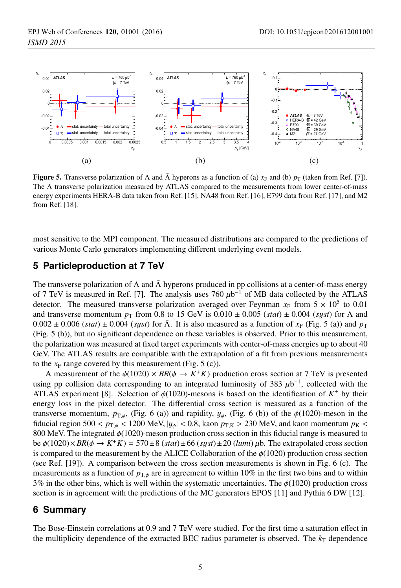

**Figure 5.** Transverse polarization of  $\Lambda$  and  $\bar{\Lambda}$  hyperons as a function of (a)  $x_F$  and (b)  $p_T$  (taken from Ref. [7]). The Λ transverse polarization measured by ATLAS compared to the measurements from lower center-of-mass energy experiments HERA-B data taken from Ref. [15], NA48 from Ref. [16], E799 data from Ref. [17], and M2 from Ref. [18].

most sensitive to the MPI component. The measured distributions are compared to the predictions of various Monte Carlo generators implementing different underlying event models.

#### **5 Particleproduction at 7 TeV**

The transverse polarization of  $\Lambda$  and  $\bar{\Lambda}$  hyperons produced in pp collisions at a center-of-mass energy of 7 TeV is measured in Ref. [7]. The analysis uses 760  $\mu$ b<sup>-1</sup> of MB data collected by the ATLAS detector. The measured transverse polarization averaged over Feynman  $x_F$  from  $5 \times 10^5$  to 0.01 and transverse momentum  $p_T$  from 0.8 to 15 GeV is 0.010  $\pm$  0.005 (*stat*)  $\pm$  0.004 (*syst*) for  $\Lambda$  and  $0.002 \pm 0.006$  (*stat*)  $\pm 0.004$  (*syst*) for  $\bar{\Lambda}$ . It is also measured as a function of  $x_F$  (Fig. 5 (a)) and  $p_T$ (Fig. 5 (b)), but no significant dependence on these variables is observed. Prior to this measurement, the polarization was measured at fixed target experiments with center-of-mass energies up to about 40 GeV. The ATLAS results are compatible with the extrapolation of a fit from previous measurements to the  $x_F$  range covered by this measurement (Fig. 5 (c)).

A measurement of the  $\phi(1020) \times BR(\phi \to K^+K)$  production cross section at 7 TeV is presented using pp collision data corresponding to an integrated luminosity of 383  $\mu$ b<sup>-1</sup>, collected with the ATLAS experiment [8]. Selection of  $\phi(1020)$ -mesons is based on the identification of  $K^{\pm}$  by their energy loss in the pixel detector. The differential cross section is measured as a function of the transverse momentum,  $p_{\text{T},\phi}$ , (Fig. 6 (a)) and rapidity,  $y_{\phi}$ , (Fig. 6 (b)) of the  $\phi(1020)$ -meson in the fiducial region 500 <  $p_{T,\phi}$  < 1200 MeV,  $|y_{\phi}|$  < 0.8, kaon  $p_{T,K}$  > 230 MeV, and kaon momentum  $p_K$  < 800 MeV. The integrated  $\phi(1020)$ -meson production cross section in this fiducial range is measured to be <sup>φ</sup>(1020)×*BR*(<sup>φ</sup> <sup>→</sup> *<sup>K</sup>*+*K*) <sup>=</sup> <sup>570</sup>±8 (*stat*)±66 (*s*y*st*)±20 (*lumi*) <sup>μ</sup>b. The extrapolated cross section is compared to the measurement by the ALICE Collaboration of the  $\phi(1020)$  production cross section (see Ref. [19]). A comparison between the cross section measurements is shown in Fig. 6 (c). The measurements as a function of  $p_{\text{T},\phi}$  are in agreement to within 10% in the first two bins and to within 3% in the other bins, which is well within the systematic uncertainties. The  $\phi(1020)$  production cross section is in agreement with the predictions of the MC generators EPOS [11] and Pythia 6 DW [12].

### **6 Summary**

The Bose-Einstein correlations at 0.9 and 7 TeV were studied. For the first time a saturation effect in the multiplicity dependence of the extracted BEC radius parameter is observed. The  $k_T$  dependence